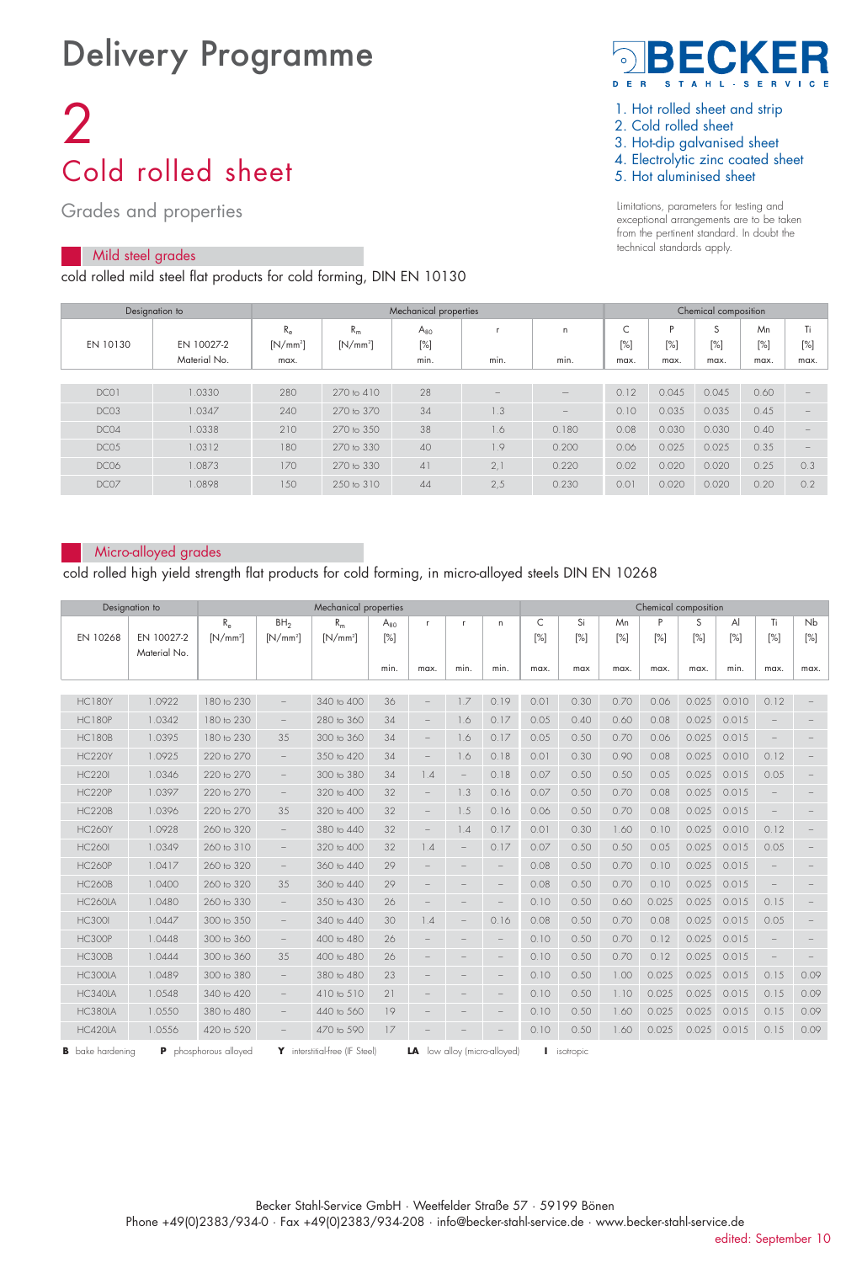## Delivery Programme

# 2 Cold rolled sheet

Grades and properties

## Mild steel grades

cold rolled mild steel flat products for cold forming, DIN EN 10130



- 1. Hot rolled sheet and strip
- 2. Cold rolled sheet
- 3. Hot-dip galvanised sheet
- 4. Electrolytic zinc coated sheet
- 5. Hot aluminised sheet

Limitations, parameters for testing and exceptional arrangements are to be taken from the pertinent standard. In doubt the technical standards apply.

|                  | Designation to |             | Chemical composition |          |      |                   |                          |        |        |        |      |
|------------------|----------------|-------------|----------------------|----------|------|-------------------|--------------------------|--------|--------|--------|------|
|                  |                | $R_{\rm e}$ | $R_m$                | $A_{80}$ |      | $\mathsf{n}$      | $\overline{\phantom{0}}$ | P      | S      | Mn     | Ti   |
| EN 10130         | EN 10027-2     | $[N/mm^2]$  | $[N/mm^2]$           | $[\%]$   |      |                   | $[\%]$                   | $[\%]$ | $[\%]$ | $[\%]$ | [%]  |
|                  | Material No.   | max.        |                      | min.     | min. | min.              | max.                     | max.   | max.   | max.   | max. |
|                  |                |             |                      |          |      |                   |                          |        |        |        |      |
| DCO1             | 1.0330         | 280         | 270 to 410           | 28       |      |                   | 0.12                     | 0.045  | 0.045  | 0.60   |      |
| DCO <sub>3</sub> | 1.0347         | 240         | 270 to 370           | 34       | 1.3  | $\qquad \qquad -$ | 0.10                     | 0.035  | 0.035  | 0.45   |      |
| DC04             | 1.0338         | 210         | 270 to 350           | 38       | 1.6  | 0.180             | 0.08                     | 0.030  | 0.030  | 0.40   |      |
| DC05             | 1.0312         | 180         | 270 to 330           | 40       | 1.9  | 0.200             | 0.06                     | 0.025  | 0.025  | 0.35   |      |
| DC06             | 1.0873         | 170         | 270 to 330           | 41       | 2.1  | 0.220             | 0.02                     | 0.020  | 0.020  | 0.25   | 0.3  |
| DC07             | 1.0898         | 150         | 250 to 310           | 44       | 2,5  | 0.230             | 0.01                     | 0.020  | 0.020  | 0.20   | 0.2  |

#### Micro-alloyed grades

cold rolled high yield strength flat products for cold forming, in micro-alloyed steels DIN EN 10268

|                         | Designation to | Mechanical properties |                          |                                |          |                          |                          |                           | Chemical composition |             |      |       |       |        |                   |        |
|-------------------------|----------------|-----------------------|--------------------------|--------------------------------|----------|--------------------------|--------------------------|---------------------------|----------------------|-------------|------|-------|-------|--------|-------------------|--------|
|                         |                | $R_{\rm e}$           | BH <sub>2</sub>          | $R_m$                          | $A_{80}$ | $\mathbf{r}$             | $\mathbf{r}$             | n.                        | C                    | Si          | Mn   | P     | S     | Al     | Ti                | Nb     |
| EN 10268                | EN 10027-2     | $[N/mm^2]$            | $[N/mm^2]$               | $[N/mm^2]$                     | [%]      |                          |                          |                           | $[\%]$               | $[\%]$      | [%]  | [%]   | [%]   | $[\%]$ | $[\%]$            | $[\%]$ |
|                         | Material No.   |                       |                          |                                |          |                          |                          |                           |                      |             |      |       |       |        |                   |        |
|                         |                |                       |                          |                                | min.     | max.                     | min.                     | min.                      | max.                 | max         | max. | max.  | max.  | min.   | max.              | max.   |
| <b>HC180Y</b>           | 1.0922         | 180 to 230            | $\overline{\phantom{0}}$ | 340 to 400                     | 36       |                          | 1.7                      | 0.19                      | 0.01                 | 0.30        | 0.70 | 0.06  | 0.025 | 0.010  | 0.12              |        |
|                         |                |                       |                          |                                |          |                          |                          |                           |                      |             |      |       |       |        |                   |        |
| <b>HC180P</b>           | 1.0342         | 180 to 230            | $\overline{\phantom{a}}$ | 280 to 360                     | 34       | $\overline{\phantom{0}}$ | 1.6                      | 0.17                      | 0.05                 | 0.40        | 0.60 | 0.08  | 0.025 | 0.015  |                   |        |
| <b>HC180B</b>           | 1.0395         | 180 to 230            | 35                       | 300 to 360                     | 34       | $\overline{\phantom{0}}$ | 1.6                      | 0.17                      | 0.05                 | 0.50        | 0.70 | 0.06  | 0.025 | 0.015  |                   |        |
| <b>HC220Y</b>           | 1.0925         | 220 to 270            | $\overline{\phantom{0}}$ | 350 to 420                     | 34       |                          | 1.6                      | 0.18                      | 0.01                 | 0.30        | 0.90 | 0.08  | 0.025 | 0.010  | 0.12              |        |
| <b>HC220I</b>           | 1.0346         | 220 to 270            | $\overline{\phantom{a}}$ | 300 to 380                     | 34       | 1.4                      | $\overline{\phantom{m}}$ | 0.18                      | 0.07                 | 0.50        | 0.50 | 0.05  | 0.025 | 0.015  | 0.05              |        |
| <b>HC220P</b>           | 1.0397         | 220 to 270            | $\overline{\phantom{a}}$ | 320 to 400                     | 32       | $\overline{\phantom{a}}$ | 1.3                      | 0.16                      | 0.07                 | 0.50        | 0.70 | 0.08  | 0.025 | 0.015  |                   |        |
| <b>HC220B</b>           | 1.0396         | 220 to 270            | 35                       | 320 to 400                     | 32       | $\overline{\phantom{0}}$ | 1.5                      | 0.16                      | 0.06                 | 0.50        | 0.70 | 0.08  | 0.025 | 0.015  |                   |        |
| <b>HC260Y</b>           | 1.0928         | 260 to 320            | $\overline{\phantom{0}}$ | 380 to 440                     | 32       | $\overline{\phantom{0}}$ | 1.4                      | 0.17                      | 0.01                 | 0.30        | 1.60 | 0.10  | 0.025 | 0.010  | 0.12              |        |
| <b>HC260I</b>           | 1.0349         | 260 to 310            | $\overline{\phantom{0}}$ | 320 to 400                     | 32       | 1.4                      | $\overline{\phantom{m}}$ | 0.17                      | 0.07                 | 0.50        | 0.50 | 0.05  | 0.025 | 0.015  | 0.05              |        |
| <b>HC260P</b>           | 1.0417         | 260 to 320            | $\overline{\phantom{a}}$ | 360 to 440                     | 29       |                          |                          |                           | 0.08                 | 0.50        | 0.70 | 0.10  | 0.025 | 0.015  |                   |        |
| <b>HC260B</b>           | 1.0400         | 260 to 320            | 35                       | 360 to 440                     | 29       |                          |                          |                           | 0.08                 | 0.50        | 0.70 | 0.10  | 0.025 | 0.015  |                   |        |
| HC260LA                 | 1.0480         | 260 to 330            | $\overline{\phantom{0}}$ | 350 to 430                     | 26       |                          |                          |                           | 0.10                 | 0.50        | 0.60 | 0.025 | 0.025 | 0.015  | 0.15              |        |
| <b>HC300I</b>           | 1.0447         | 300 to 350            | $\overline{\phantom{m}}$ | 340 to 440                     | 30       | 1.4                      |                          | 0.16                      | 0.08                 | 0.50        | 0.70 | 0.08  | 0.025 | 0.015  | 0.05              |        |
| <b>HC300P</b>           | 1.0448         | 300 to 360            | $\overline{\phantom{a}}$ | 400 to 480                     | 26       | $\qquad \qquad$          |                          | $\overline{\phantom{0}}$  | 0.10                 | 0.50        | 0.70 | 0.12  | 0.025 | 0.015  | ۳                 |        |
| <b>HC300B</b>           | 1.0444         | 300 to 360            | 35                       | 400 to 480                     | 26       |                          |                          | $\overline{\phantom{0}}$  | 0.10                 | 0.50        | 0.70 | 0.12  | 0.025 | 0.015  | $\qquad \qquad -$ |        |
| HC300LA                 | 1.0489         | 300 to 380            | $\overline{\phantom{0}}$ | 380 to 480                     | 23       |                          |                          | $\overline{\phantom{0}}$  | 0.10                 | 0.50        | 1.00 | 0.025 | 0.025 | 0.015  | 0.15              | 0.09   |
| HC340LA                 | 1.0548         | 340 to 420            | $\overline{\phantom{a}}$ | 410 to 510                     | 21       |                          |                          |                           | 0.10                 | 0.50        | 1.10 | 0.025 | 0.025 | 0.015  | 0.15              | 0.09   |
| HC380LA                 | 1.0550         | 380 to 480            | $\overline{\phantom{a}}$ | 440 to 560                     | 19       |                          |                          |                           | 0.10                 | 0.50        | 1.60 | 0.025 | 0.025 | 0.015  | 0.15              | 0.09   |
| HC420IA                 | 1.0556         | 420 to 520            | $\qquad \qquad -$        | 470 to 590                     | 17       |                          |                          |                           | 0.10                 | 0.50        | 1.60 | 0.025 | 0.025 | 0.015  | 0.15              | 0.09   |
| <b>B</b> bake hardening | P              | phosphorous alloyed   |                          | Y interstitial-free (IF Steel) |          | LA                       |                          | low alloy (micro-alloyed) |                      | I isotropic |      |       |       |        |                   |        |

Becker Stahl-Service GmbH · Weetfelder Straße 57 · 59199 Bönen Phone +49(0)2383/934-0 · Fax +49(0)2383/934-208 · info@becker-stahl-service.de · www.becker-stahl-service.de